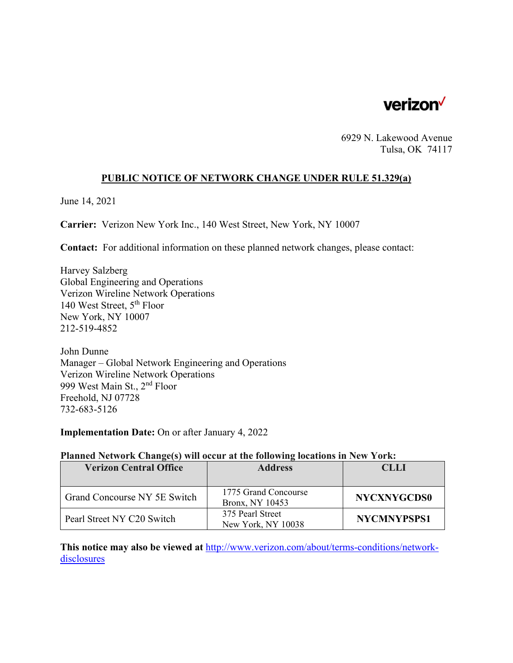

6929 N. Lakewood Avenue Tulsa, OK 74117

### **PUBLIC NOTICE OF NETWORK CHANGE UNDER RULE 51.329(a)**

June 14, 2021

**Carrier:** Verizon New York Inc., 140 West Street, New York, NY 10007

**Contact:** For additional information on these planned network changes, please contact:

Harvey Salzberg Global Engineering and Operations Verizon Wireline Network Operations 140 West Street, 5th Floor New York, NY 10007 212-519-4852

John Dunne Manager – Global Network Engineering and Operations Verizon Wireline Network Operations 999 West Main St., 2nd Floor Freehold, NJ 07728 732-683-5126

**Implementation Date:** On or after January 4, 2022

### **Planned Network Change(s) will occur at the following locations in New York:**

| <b>Verizon Central Office</b> | <b>Address</b>       | <b>CLLI</b>        |
|-------------------------------|----------------------|--------------------|
|                               |                      |                    |
| Grand Concourse NY 5E Switch  | 1775 Grand Concourse | <b>NYCXNYGCDS0</b> |
|                               | Bronx, NY 10453      |                    |
| Pearl Street NY C20 Switch    | 375 Pearl Street     | <b>NYCMNYPSPS1</b> |
|                               | New York, NY 10038   |                    |

**This notice may also be viewed at** http://www.verizon.com/about/terms-conditions/networkdisclosures